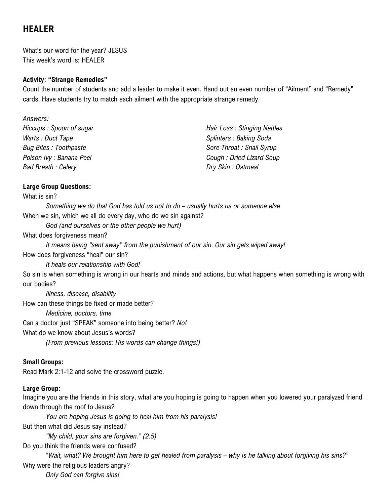# **HEALER**

What's our word for the year? JESUS This week's word is: HEALER

## **Activity: "Strange Remedies"**

Count the number of students and add a leader to make it even. Hand out an even number of "Ailment" and "Remedy" cards. Have students try to match each ailment with the appropriate strange remedy.

| Hair Loss: Stinging Nettles |
|-----------------------------|
| Splinters: Baking Soda      |
| Sore Throat: Snail Syrup    |
| Cough: Dried Lizard Soup    |
| Dry Skin: Oatmeal           |
|                             |

## **Large Group Questions:**

#### What is sin?

*Something we do that God has told us not to do – usually hurts us or someone else* When we sin, which we all do every day, who do we sin against?

*God (and ourselves or the other people we hurt)*

What does forgiveness mean?

*It means being "sent away" from the punishment of our sin. Our sin gets wiped away!* How does forgiveness "heal" our sin?

*It heals our relationship with God!*

So sin is when something is wrong in our hearts and minds and actions, but what happens when something is wrong with our bodies?

*Illness, disease, disability* How can these things be fixed or made better?

*Medicine, doctors, time*

Can a doctor just "SPEAK" someone into being better? *No!*

What do we know about Jesus's words?

*(From previous lessons: His words can change things!)*

## **Small Groups:**

Read Mark 2:1-12 and solve the crossword puzzle.

## **Large Group:**

Imagine you are the friends in this story, what are you hoping is going to happen when you lowered your paralyzed friend down through the roof to Jesus?

*You are hoping Jesus is going to heal him from his paralysis!* But then what did Jesus say instead?

*"My child, your sins are forgiven." (2:5)*

Do you think the friends were confused?

"*Wait, what? We brought him here to get healed from paralysis – why is he talking about forgiving his sins?"* Why were the religious leaders angry?

*Only God can forgive sins!*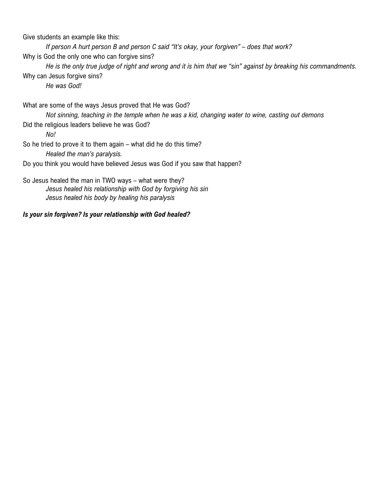Give students an example like this:

*If person A hurt person B and person C said "It's okay, your forgiven" – does that work?* Why is God the only one who can forgive sins?

*He is the only true judge of right and wrong and it is him that we "sin" against by breaking his commandments.* Why can Jesus forgive sins?

*He was God!*

What are some of the ways Jesus proved that He was God?

*Not sinning, teaching in the temple when he was a kid, changing water to wine, casting out demons*

Did the religious leaders believe he was God?

*No!*

So he tried to prove it to them again – what did he do this time? *Healed the man's paralysis.*

Do you think you would have believed Jesus was God if you saw that happen?

So Jesus healed the man in TWO ways – what were they? *Jesus healed his relationship with God by forgiving his sin Jesus healed his body by healing his paralysis*

## *Is your sin forgiven? Is your relationship with God healed?*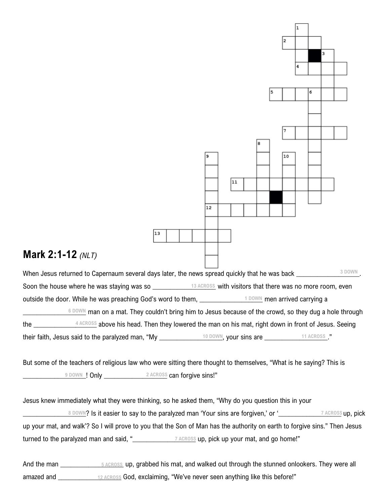

amazed and \_\_\_\_\_\_\_\_\_\_\_\_\_\_\_\_\_\_ God, exclaiming, "We've never seen anything like this before!" **12 ACROSS**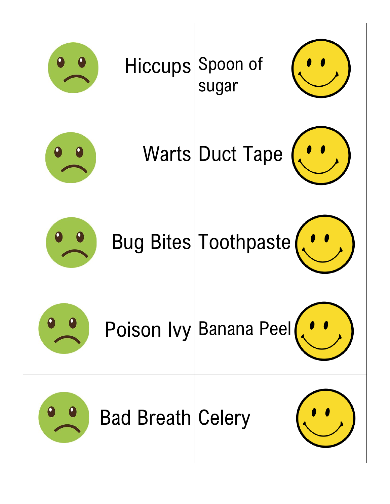|                          | Hiccups Spoon of       |
|--------------------------|------------------------|
|                          | Warts Duct Tape        |
|                          | Bug Bites Toothpaste   |
|                          | Poison Ivy Banana Peel |
| <b>Bad Breath Celery</b> |                        |